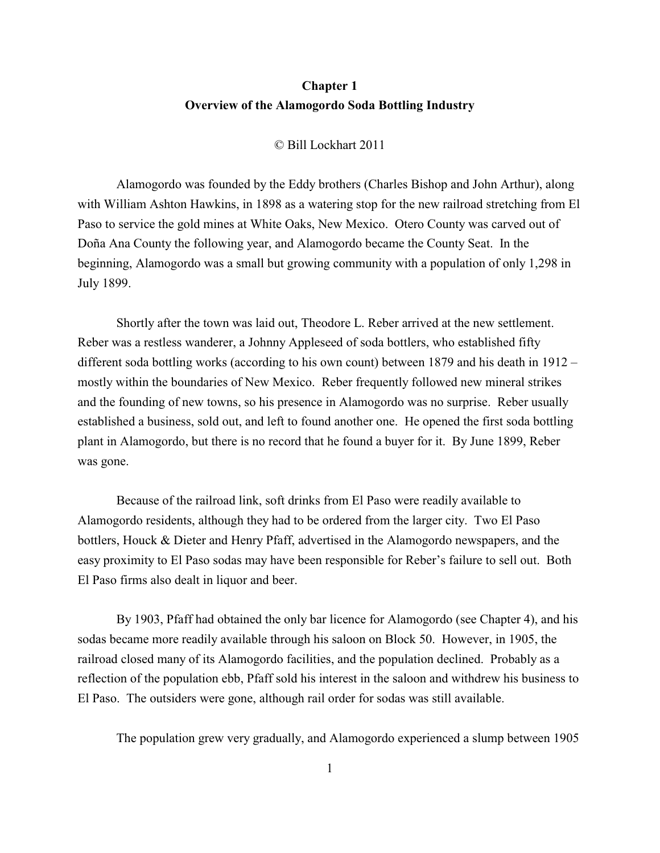## **Chapter 1 Overview of the Alamogordo Soda Bottling Industry**

© Bill Lockhart 2011

Alamogordo was founded by the Eddy brothers (Charles Bishop and John Arthur), along with William Ashton Hawkins, in 1898 as a watering stop for the new railroad stretching from El Paso to service the gold mines at White Oaks, New Mexico. Otero County was carved out of Doña Ana County the following year, and Alamogordo became the County Seat. In the beginning, Alamogordo was a small but growing community with a population of only 1,298 in July 1899.

Shortly after the town was laid out, Theodore L. Reber arrived at the new settlement. Reber was a restless wanderer, a Johnny Appleseed of soda bottlers, who established fifty different soda bottling works (according to his own count) between 1879 and his death in 1912 – mostly within the boundaries of New Mexico. Reber frequently followed new mineral strikes and the founding of new towns, so his presence in Alamogordo was no surprise. Reber usually established a business, sold out, and left to found another one. He opened the first soda bottling plant in Alamogordo, but there is no record that he found a buyer for it. By June 1899, Reber was gone.

Because of the railroad link, soft drinks from El Paso were readily available to Alamogordo residents, although they had to be ordered from the larger city. Two El Paso bottlers, Houck & Dieter and Henry Pfaff, advertised in the Alamogordo newspapers, and the easy proximity to El Paso sodas may have been responsible for Reber's failure to sell out. Both El Paso firms also dealt in liquor and beer.

By 1903, Pfaff had obtained the only bar licence for Alamogordo (see Chapter 4), and his sodas became more readily available through his saloon on Block 50. However, in 1905, the railroad closed many of its Alamogordo facilities, and the population declined. Probably as a reflection of the population ebb, Pfaff sold his interest in the saloon and withdrew his business to El Paso. The outsiders were gone, although rail order for sodas was still available.

The population grew very gradually, and Alamogordo experienced a slump between 1905